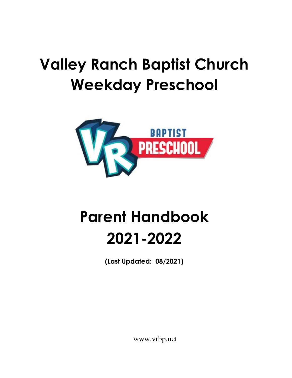# **Valley Ranch Baptist Church Weekday Preschool**



# **Parent Handbook 2021-2022**

**(Last Updated: 08/2021)**

www.vrbp.net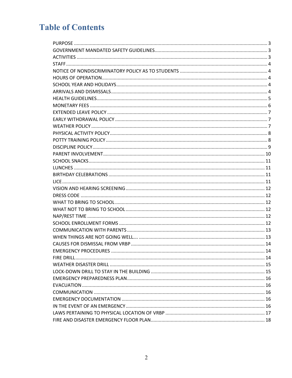# **Table of Contents**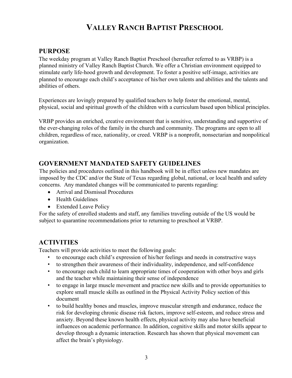# **VALLEY RANCH BAPTIST PRESCHOOL**

#### **PURPOSE**

The weekday program at Valley Ranch Baptist Preschool (hereafter referred to as VRBP) is a planned ministry of Valley Ranch Baptist Church. We offer a Christian environment equipped to stimulate early life-hood growth and development. To foster a positive self-image, activities are planned to encourage each child's acceptance of his/her own talents and abilities and the talents and abilities of others.

Experiences are lovingly prepared by qualified teachers to help foster the emotional, mental, physical, social and spiritual growth of the children with a curriculum based upon biblical principles.

VRBP provides an enriched, creative environment that is sensitive, understanding and supportive of the ever-changing roles of the family in the church and community. The programs are open to all children, regardless of race, nationality, or creed. VRBP is a nonprofit, nonsectarian and nonpolitical organization.

#### **GOVERNMENT MANDATED SAFETY GUIDELINES**

The policies and procedures outlined in this handbook will be in effect unless new mandates are imposed by the CDC and/or the State of Texas regarding global, national, or local health and safety concerns. Any mandated changes will be communicated to parents regarding:

- Arrival and Dismissal Procedures
- Health Guidelines
- Extended Leave Policy

For the safety of enrolled students and staff, any families traveling outside of the US would be subject to quarantine recommendations prior to returning to preschool at VRBP.

## **ACTIVITIES**

Teachers will provide activities to meet the following goals:

- to encourage each child's expression of his/her feelings and needs in constructive ways
- to strengthen their awareness of their individuality, independence, and self-confidence
- to encourage each child to learn appropriate times of cooperation with other boys and girls and the teacher while maintaining their sense of independence
- to engage in large muscle movement and practice new skills and to provide opportunities to explore small muscle skills as outlined in the Physical Activity Policy section of this document
- to build healthy bones and muscles, improve muscular strength and endurance, reduce the risk for developing chronic disease risk factors, improve self-esteem, and reduce stress and anxiety. Beyond these known health effects, physical activity may also have beneficial influences on academic performance. In addition, cognitive skills and motor skills appear to develop through a dynamic interaction. Research has shown that physical movement can affect the brain's physiology.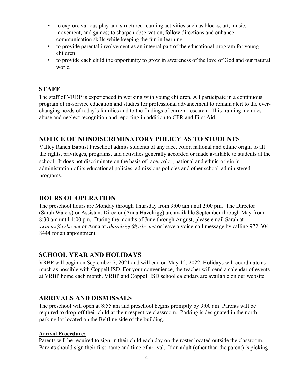- to explore various play and structured learning activities such as blocks, art, music, movement, and games; to sharpen observation, follow directions and enhance communication skills while keeping the fun in learning
- to provide parental involvement as an integral part of the educational program for young children
- to provide each child the opportunity to grow in awareness of the love of God and our natural world

### **STAFF**

The staff of VRBP is experienced in working with young children. All participate in a continuous program of in-service education and studies for professional advancement to remain alert to the everchanging needs of today's families and to the findings of current research. This training includes abuse and neglect recognition and reporting in addition to CPR and First Aid.

## **NOTICE OF NONDISCRIMINATORY POLICY AS TO STUDENTS**

Valley Ranch Baptist Preschool admits students of any race, color, national and ethnic origin to all the rights, privileges, programs, and activities generally accorded or made available to students at the school. It does not discriminate on the basis of race, color, national and ethnic origin in administration of its educational policies, admissions policies and other school-administered programs.

#### **HOURS OF OPERATION**

The preschool hours are Monday through Thursday from 9:00 am until 2:00 pm. The Director (Sarah Waters) or Assistant Director (Anna Hazelrigg) are available September through May from 8:30 am until 4:00 pm. During the months of June through August, please email Sarah at *swaters@vrbc.net* or Anna at *ahazelrigg@vrbc.net* or leave a voicemail message by calling 972-304- 8444 for an appointment.

#### **SCHOOL YEAR AND HOLIDAYS**

VRBP will begin on September 7, 2021 and will end on May 12, 2022. Holidays will coordinate as much as possible with Coppell ISD. For your convenience, the teacher will send a calendar of events at VRBP home each month. VRBP and Coppell ISD school calendars are available on our website.

#### **ARRIVALS AND DISMISSALS**

The preschool will open at 8:55 am and preschool begins promptly by 9:00 am. Parents will be required to drop-off their child at their respective classroom. Parking is designated in the north parking lot located on the Beltline side of the building.

#### **Arrival Procedure:**

Parents will be required to sign-in their child each day on the roster located outside the classroom. Parents should sign their first name and time of arrival. If an adult (other than the parent) is picking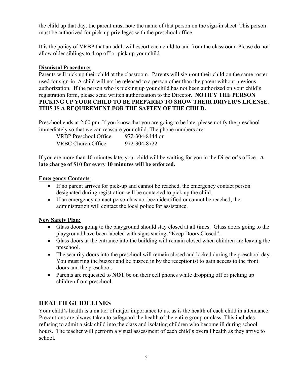the child up that day, the parent must note the name of that person on the sign-in sheet. This person must be authorized for pick-up privileges with the preschool office.

It is the policy of VRBP that an adult will escort each child to and from the classroom. Please do not allow older siblings to drop off or pick up your child.

#### **Dismissal Procedure:**

Parents will pick up their child at the classroom. Parents will sign-out their child on the same roster used for sign-in. A child will not be released to a person other than the parent without previous authorization. If the person who is picking up your child has not been authorized on your child's registration form, please send written authorization to the Director. **NOTIFY THE PERSON PICKING UP YOUR CHILD TO BE PREPARED TO SHOW THEIR DRIVER'S LICENSE. THIS IS A REQUIREMENT FOR THE SAFTEY OF THE CHILD.** 

Preschool ends at 2:00 pm. If you know that you are going to be late, please notify the preschool immediately so that we can reassure your child. The phone numbers are:

| VRBP Preschool Office | 972-304-8444 or |
|-----------------------|-----------------|
| VRBC Church Office    | 972-304-8722    |

If you are more than 10 minutes late, your child will be waiting for you in the Director's office. **A late charge of \$10 for every 10 minutes will be enforced.**

#### **Emergency Contacts**:

- If no parent arrives for pick-up and cannot be reached, the emergency contact person designated during registration will be contacted to pick up the child.
- If an emergency contact person has not been identified or cannot be reached, the administration will contact the local police for assistance.

#### **New Safety Plan:**

- Glass doors going to the playground should stay closed at all times. Glass doors going to the playground have been labeled with signs stating, "Keep Doors Closed".
- Glass doors at the entrance into the building will remain closed when children are leaving the preschool.
- The security doors into the preschool will remain closed and locked during the preschool day. You must ring the buzzer and be buzzed in by the receptionist to gain access to the front doors and the preschool.
- Parents are requested to **NOT** be on their cell phones while dropping off or picking up children from preschool.

## **HEALTH GUIDELINES**

Your child's health is a matter of major importance to us, as is the health of each child in attendance. Precautions are always taken to safeguard the health of the entire group or class. This includes refusing to admit a sick child into the class and isolating children who become ill during school hours. The teacher will perform a visual assessment of each child's overall health as they arrive to school.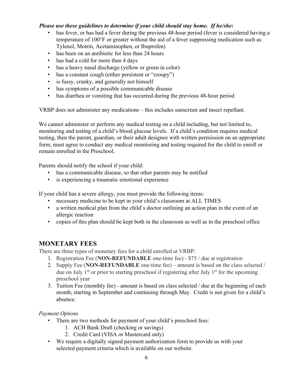#### *Please use these guidelines to determine if your child should stay home. If he/she:*

- has fever, or has had a fever during the previous 48-hour period (fever is considered having a temperature of 100°F or greater without the aid of a fever suppressing medication such as Tylenol, Motrin, Acetaminophen, or Ibuprofen)
- has been on an antibiotic for less than 24 hours
- has had a cold for more than 4 days
- has a heavy nasal discharge (yellow or green in color)
- has a constant cough (either persistent or "croupy")
- is fussy, cranky, and generally not himself
- has symptoms of a possible communicable disease
- has diarrhea or vomiting that has occurred during the previous 48-hour period

VRBP does not administer any medications – this includes sunscreen and insect repellant.

We cannot administer or perform any medical testing on a child including, but not limited to, monitoring and testing of a child's blood glucose levels. If a child's condition requires medical testing, then the parent, guardian, or their adult designee with written permission on an appropriate form, must agree to conduct any medical monitoring and testing required for the child to enroll or remain enrolled in the Preschool.

Parents should notify the school if your child:

- has a communicable disease, so that other parents may be notified
- is experiencing a traumatic emotional experience

If your child has a severe allergy, you must provide the following items:

- necessary medicine to be kept in your child's classroom at ALL TIMES
- a written medical plan from the child's doctor outlining an action plan in the event of an allergic reaction
- copies of this plan should be kept both in the classroom as well as in the preschool office

#### **MONETARY FEES**

There are three types of monetary fees for a child enrolled at VRBP:

- 1. Registration Fee (**NON-REFUNDABLE** one-time fee) \$75 / due at registration
- 2. Supply Fee (**NON-REFUNDABLE** one-time fee) amount is based on the class selected / due on July 1<sup>st</sup> or prior to starting preschool if registering after July 1<sup>st</sup> for the upcoming preschool year
- 3. Tuition Fee (monthly fee) amount is based on class selected / due at the beginning of each month, starting in September and continuing through May. Credit is not given for a child's absence.

#### *Payment Options*

- There are two methods for payment of your child's preschool fees:
	- 1. ACH Bank Draft (checking or savings)
	- 2. Credit Card (VISA or Mastercard only)
- We require a digitally signed payment authorization form to provide us with your selected payment criteria which is available on our website.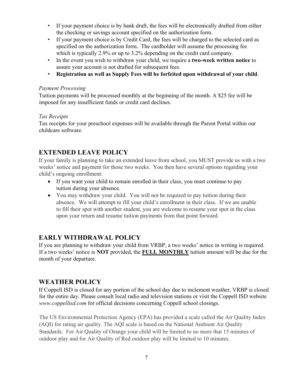- If your payment choice is by bank draft, the fees will be electronically drafted from either the checking or savings account specified on the authorization form.
- If your payment choice is by Credit Card, the fees will be charged to the selected card as specified on the authorization form. The cardholder will assume the processing fee which is typically 2.9% or up to 3.2% depending on the credit card company.
- In the event you wish to withdraw your child, we require a **two-week written notice** to assure your account is not drafted for subsequent fees.
- **Registration as well as Supply Fees will be forfeited upon withdrawal of your child**.

#### *Payment Processing*

Tuition payments will be processed monthly at the beginning of the month. A \$25 fee will be imposed for any insufficient funds or credit card declines.

#### *Tax Receipts*

Tax receipts for your preschool expenses will be available through the Parent Portal within our childcare software.

## **EXTENDED LEAVE POLICY**

If your family is planning to take an extended leave from school, you MUST provide us with a two weeks' notice and payment for those two weeks. You then have several options regarding your child's ongoing enrollment:

- If you want your child to remain enrolled in their class, you must continue to pay tuition during your absence.
- You may withdraw your child. You will not be required to pay tuition during their absence. We will attempt to fill your child's enrollment in their class. If we are unable to fill their spot with another student, you are welcome to resume your spot in the class upon your return and resume tuition payments from that point forward.

#### **EARLY WITHDRAWAL POLICY**

If you are planning to withdraw your child from VRBP, a two weeks' notice in writing is required. If a two weeks' notice is **NOT** provided, the **FULL MONTHLY** tuition amount will be due for the month of your departure.

## **WEATHER POLICY**

If Coppell ISD is closed for any portion of the school day due to inclement weather, VRBP is closed for the entire day. Please consult local radio and television stations or visit the Coppell ISD website *www.coppellisd.com* for official decisions concerning Coppell school closings.

The US Environmental Protection Agency (EPA) has provided a scale called the Air Quality Index (AQI) for rating air quality. The AQI scale is based on the National Ambient Air Quality Standards. For Air Quality of Orange your child will be limited to no more that 15 minutes of outdoor play and for Air Quality of Red outdoor play will be limited to 10 minutes.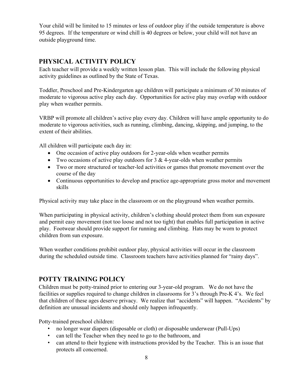Your child will be limited to 15 minutes or less of outdoor play if the outside temperature is above 95 degrees. If the temperature or wind chill is 40 degrees or below, your child will not have an outside playground time.

## **PHYSICAL ACTIVITY POLICY**

Each teacher will provide a weekly written lesson plan. This will include the following physical activity guidelines as outlined by the State of Texas.

Toddler, Preschool and Pre-Kindergarten age children will participate a minimum of 30 minutes of moderate to vigorous active play each day. Opportunities for active play may overlap with outdoor play when weather permits.

VRBP will promote all children's active play every day. Children will have ample opportunity to do moderate to vigorous activities, such as running, climbing, dancing, skipping, and jumping, to the extent of their abilities.

All children will participate each day in:

- One occasion of active play outdoors for 2-year-olds when weather permits
- Two occasions of active play outdoors for  $3 \& 4$ -year-olds when weather permits
- Two or more structured or teacher-led activities or games that promote movement over the course of the day
- Continuous opportunities to develop and practice age-appropriate gross motor and movement skills

Physical activity may take place in the classroom or on the playground when weather permits.

When participating in physical activity, children's clothing should protect them from sun exposure and permit easy movement (not too loose and not too tight) that enables full participation in active play. Footwear should provide support for running and climbing. Hats may be worn to protect children from sun exposure.

When weather conditions prohibit outdoor play, physical activities will occur in the classroom during the scheduled outside time. Classroom teachers have activities planned for "rainy days".

## **POTTY TRAINING POLICY**

Children must be potty-trained prior to entering our 3-year-old program. We do not have the facilities or supplies required to change children in classrooms for 3's through Pre-K 4's. We feel that children of these ages deserve privacy. We realize that "accidents" will happen. "Accidents" by definition are unusual incidents and should only happen infrequently.

Potty-trained preschool children:

- no longer wear diapers (disposable or cloth) or disposable underwear (Pull-Ups)
- can tell the Teacher when they need to go to the bathroom, and
- can attend to their hygiene with instructions provided by the Teacher. This is an issue that protects all concerned.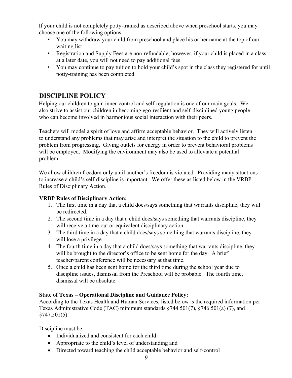If your child is not completely potty-trained as described above when preschool starts, you may choose one of the following options:

- You may withdraw your child from preschool and place his or her name at the top of our waiting list
- Registration and Supply Fees are non-refundable; however, if your child is placed in a class at a later date, you will not need to pay additional fees
- You may continue to pay tuition to hold your child's spot in the class they registered for until potty-training has been completed

## **DISCIPLINE POLICY**

Helping our children to gain inner-control and self-regulation is one of our main goals. We also strive to assist our children in becoming ego-resilient and self-disciplined young people who can become involved in harmonious social interaction with their peers.

Teachers will model a spirit of love and affirm acceptable behavior. They will actively listen to understand any problems that may arise and interpret the situation to the child to prevent the problem from progressing. Giving outlets for energy in order to prevent behavioral problems will be employed. Modifying the environment may also be used to alleviate a potential problem.

We allow children freedom only until another's freedom is violated. Providing many situations to increase a child's self-discipline is important. We offer these as listed below in the VRBP Rules of Disciplinary Action.

#### **VRBP Rules of Disciplinary Action:**

- 1. The first time in a day that a child does/says something that warrants discipline, they will be redirected.
- 2. The second time in a day that a child does/says something that warrants discipline, they will receive a time-out or equivalent disciplinary action.
- 3. The third time in a day that a child does/says something that warrants discipline, they will lose a privilege.
- 4. The fourth time in a day that a child does/says something that warrants discipline, they will be brought to the director's office to be sent home for the day. A brief teacher/parent conference will be necessary at that time.
- 5. Once a child has been sent home for the third time during the school year due to discipline issues, dismissal from the Preschool will be probable. The fourth time, dismissal will be absolute.

#### **State of Texas – Operational Discipline and Guidance Policy:**

According to the Texas Health and Human Services, listed below is the required information per Texas Administrative Code (TAC) minimum standards §744.501(7), §746.501(a) (7), and  $§747.501(5).$ 

Discipline must be:

- Individualized and consistent for each child
- Appropriate to the child's level of understanding and
- Directed toward teaching the child acceptable behavior and self-control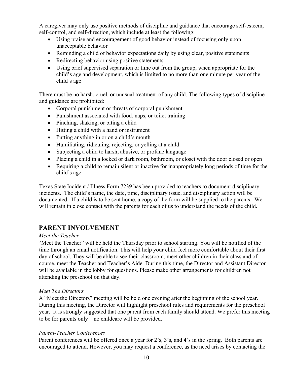A caregiver may only use positive methods of discipline and guidance that encourage self-esteem, self-control, and self-direction, which include at least the following:

- Using praise and encouragement of good behavior instead of focusing only upon unacceptable behavior
- Reminding a child of behavior expectations daily by using clear, positive statements
- Redirecting behavior using positive statements
- Using brief supervised separation or time out from the group, when appropriate for the child's age and development, which is limited to no more than one minute per year of the child's age

There must be no harsh, cruel, or unusual treatment of any child. The following types of discipline and guidance are prohibited:

- Corporal punishment or threats of corporal punishment
- Punishment associated with food, naps, or toilet training
- Pinching, shaking, or biting a child
- Hitting a child with a hand or instrument
- Putting anything in or on a child's mouth
- Humiliating, ridiculing, rejecting, or yelling at a child
- Subjecting a child to harsh, abusive, or profane language
- Placing a child in a locked or dark room, bathroom, or closet with the door closed or open
- Requiring a child to remain silent or inactive for inappropriately long periods of time for the child's age

Texas State Incident / Illness Form 7239 has been provided to teachers to document disciplinary incidents. The child's name, the date, time, disciplinary issue, and disciplinary action will be documented. If a child is to be sent home, a copy of the form will be supplied to the parents. We will remain in close contact with the parents for each of us to understand the needs of the child.

## **PARENT INVOLVEMENT**

#### *Meet the Teacher*

"Meet the Teacher" will be held the Thursday prior to school starting. You will be notified of the time through an email notification. This will help your child feel more comfortable about their first day of school. They will be able to see their classroom, meet other children in their class and of course, meet the Teacher and Teacher's Aide. During this time, the Director and Assistant Director will be available in the lobby for questions. Please make other arrangements for children not attending the preschool on that day.

#### *Meet The Directors*

A "Meet the Directors" meeting will be held one evening after the beginning of the school year. During this meeting, the Director will highlight preschool rules and requirements for the preschool year. It is strongly suggested that one parent from each family should attend. We prefer this meeting to be for parents only – no childcare will be provided.

#### *Parent-Teacher Conferences*

Parent conferences will be offered once a year for 2's, 3's, and 4's in the spring. Both parents are encouraged to attend. However, you may request a conference, as the need arises by contacting the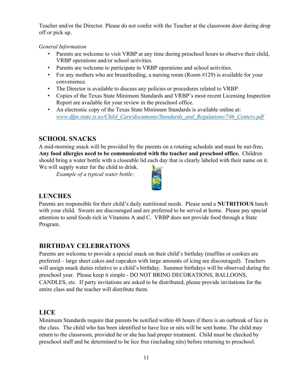Teacher and/or the Director. Please do not confer with the Teacher at the classroom door during drop off or pick up.

#### *General Information*

- Parents are welcome to visit VRBP at any time during preschool hours to observe their child, VRBP operations and/or school activities.
- Parents are welcome to participate in VRBP operations and school activities.
- For any mothers who are breastfeeding, a nursing room (Room #129) is available for your convenience.
- The Director is available to discuss any policies or procedures related to VRBP.
- Copies of the Texas State Minimum Standards and VRBP's most recent Licensing Inspection Report are available for your review in the preschool office.
- An electronic copy of the Texas State Minimum Standards is available online at: *www.dfps.state.tx.us/Child\_Care/documents/Standards\_and\_Regulations/746\_Centers.pdf*

## **SCHOOL SNACKS**

A mid-morning snack will be provided by the parents on a rotating schedule and must be nut-free**. Any food allergies need to be communicated with the teacher and preschool office.** Children should bring a water bottle with a closeable lid each day that is clearly labeled with their name on it.

We will supply water for the child to drink.

*Example of a typical water bottle:* 



## **LUNCHES**

Parents are responsible for their child's daily nutritional needs. Please send a **NUTRITIOUS** lunch with your child. Sweets are discouraged and are preferred to be served at home. Please pay special attention to send foods rich in Vitamins A and C. VRBP does not provide food through a State Program.

## **BIRTHDAY CELEBRATIONS**

Parents are welcome to provide a special snack on their child's birthday (muffins or cookies are preferred – large sheet cakes and cupcakes with large amounts of icing are discouraged). Teachers will assign snack duties relative to a child's birthday. Summer birthdays will be observed during the preschool year. Please keep it simple - DO NOT BRING DECORATIONS, BALLOONS, CANDLES, etc. If party invitations are asked to be distributed, please provide invitations for the entire class and the teacher will distribute them.

## **LICE**

Minimum Standards require that parents be notified within 48 hours if there is an outbreak of lice in the class. The child who has been identified to have lice or nits will be sent home. The child may return to the classroom, provided he or she has had proper treatment. Child must be checked by preschool staff and be determined to be lice free (including nits) before returning to preschool.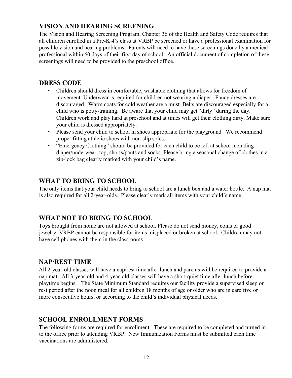## **VISION AND HEARING SCREENING**

The Vision and Hearing Screening Program, Chapter 36 of the Health and Safety Code requires that all children enrolled in a Pre-K 4's class at VRBP be screened or have a professional examination for possible vision and hearing problems. Parents will need to have these screenings done by a medical professional within 60 days of their first day of school. An official document of completion of these screenings will need to be provided to the preschool office.

#### **DRESS CODE**

- Children should dress in comfortable, washable clothing that allows for freedom of movement. Underwear is required for children not wearing a diaper. Fancy dresses are discouraged. Warm coats for cold weather are a must. Belts are discouraged especially for a child who is potty-training. Be aware that your child may get "dirty" during the day. Children work and play hard at preschool and at times will get their clothing dirty. Make sure your child is dressed appropriately.
- Please send your child to school in shoes appropriate for the playground. We recommend proper fitting athletic shoes with non-slip soles.
- "Emergency Clothing" should be provided for each child to be left at school including diaper/underwear, top, shorts/pants and socks. Please bring a seasonal change of clothes in a zip-lock bag clearly marked with your child's name.

## **WHAT TO BRING TO SCHOOL**

The only items that your child needs to bring to school are a lunch box and a water bottle. A nap mat is also required for all 2-year-olds. Please clearly mark all items with your child's name.

## **WHAT NOT TO BRING TO SCHOOL**

Toys brought from home are not allowed at school. Please do not send money, coins or good jewelry. VRBP cannot be responsible for items misplaced or broken at school. Children may not have cell phones with them in the classrooms.

#### **NAP/REST TIME**

All 2-year-old classes will have a nap/rest time after lunch and parents will be required to provide a nap mat. All 3-year-old and 4-year-old classes will have a short quiet time after lunch before playtime begins. The State Minimum Standard requires our facility provide a supervised sleep or rest period after the noon meal for all children 18 months of age or older who are in care five or more consecutive hours, or according to the child's individual physical needs.

## **SCHOOL ENROLLMENT FORMS**

The following forms are required for enrollment. These are required to be completed and turned in to the office prior to attending VRBP. New Immunization Forms must be submitted each time vaccinations are administered.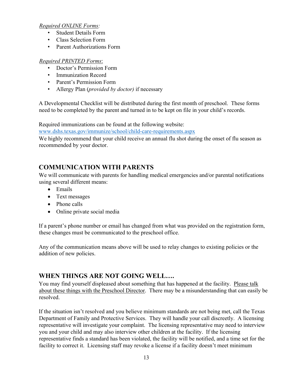#### *Required ONLINE Forms:*

- Student Details Form
- Class Selection Form
- Parent Authorizations Form

#### *Required PRINTED Forms*:

- Doctor's Permission Form
- Immunization Record
- Parent's Permission Form
- Allergy Plan (*provided by doctor)* if necessary

A Developmental Checklist will be distributed during the first month of preschool. These forms need to be completed by the parent and turned in to be kept on file in your child's records.

Required immunizations can be found at the following website:

www.dshs.texas.gov/immunize/school/child-care-requirements.aspx

We highly recommend that your child receive an annual flu shot during the onset of flu season as recommended by your doctor.

## **COMMUNICATION WITH PARENTS**

We will communicate with parents for handling medical emergencies and/or parental notifications using several different means:

- Emails
- Text messages
- Phone calls
- Online private social media

If a parent's phone number or email has changed from what was provided on the registration form, these changes must be communicated to the preschool office.

Any of the communication means above will be used to relay changes to existing policies or the addition of new policies.

## **WHEN THINGS ARE NOT GOING WELL….**

You may find yourself displeased about something that has happened at the facility. Please talk about these things with the Preschool Director. There may be a misunderstanding that can easily be resolved.

If the situation isn't resolved and you believe minimum standards are not being met, call the Texas Department of Family and Protective Services. They will handle your call discreetly. A licensing representative will investigate your complaint. The licensing representative may need to interview you and your child and may also interview other children at the facility. If the licensing representative finds a standard has been violated, the facility will be notified, and a time set for the facility to correct it. Licensing staff may revoke a license if a facility doesn't meet minimum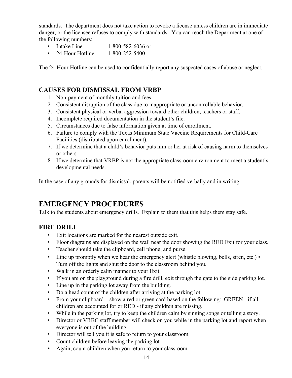standards. The department does not take action to revoke a license unless children are in immediate danger, or the licensee refuses to comply with standards. You can reach the Department at one of the following numbers:

- Intake Line 1-800-582-6036 or
- 24-Hour Hotline 1-800-252-5400

The 24-Hour Hotline can be used to confidentially report any suspected cases of abuse or neglect.

#### **CAUSES FOR DISMISSAL FROM VRBP**

- 1. Non-payment of monthly tuition and fees.
- 2. Consistent disruption of the class due to inappropriate or uncontrollable behavior.
- 3. Consistent physical or verbal aggression toward other children, teachers or staff.
- 4. Incomplete required documentation in the student's file.
- 5. Circumstances due to false information given at time of enrollment.
- 6. Failure to comply with the Texas Minimum State Vaccine Requirements for Child-Care Facilities (distributed upon enrollment).
- 7. If we determine that a child's behavior puts him or her at risk of causing harm to themselves or others.
- 8. If we determine that VRBP is not the appropriate classroom environment to meet a student's developmental needs.

In the case of any grounds for dismissal, parents will be notified verbally and in writing.

## **EMERGENCY PROCEDURES**

Talk to the students about emergency drills. Explain to them that this helps them stay safe.

#### **FIRE DRILL**

- Exit locations are marked for the nearest outside exit.
- Floor diagrams are displayed on the wall near the door showing the RED Exit for your class.
- Teacher should take the clipboard, cell phone, and purse.
- Line up promptly when we hear the emergency alert (whistle blowing, bells, siren, etc.) Turn off the lights and shut the door to the classroom behind you.
- Walk in an orderly calm manner to your Exit.
- If you are on the playground during a fire drill, exit through the gate to the side parking lot.
- Line up in the parking lot away from the building.
- Do a head count of the children after arriving at the parking lot.
- From your clipboard show a red or green card based on the following: GREEN if all children are accounted for or RED - if any children are missing.
- While in the parking lot, try to keep the children calm by singing songs or telling a story.
- Director or VRBC staff member will check on you while in the parking lot and report when everyone is out of the building.
- Director will tell you it is safe to return to your classroom.
- Count children before leaving the parking lot.
- Again, count children when you return to your classroom.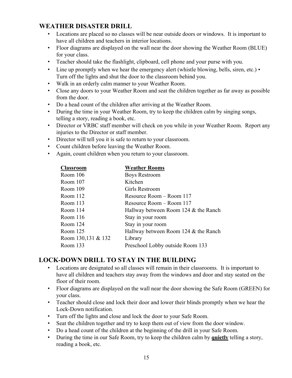### **WEATHER DISASTER DRILL**

- Locations are placed so no classes will be near outside doors or windows. It is important to have all children and teachers in interior locations.
- Floor diagrams are displayed on the wall near the door showing the Weather Room (BLUE) for your class.
- Teacher should take the flashlight, clipboard, cell phone and your purse with you.
- Line up promptly when we hear the emergency alert (whistle blowing, bells, siren, etc.) Turn off the lights and shut the door to the classroom behind you.
- Walk in an orderly calm manner to your Weather Room.
- Close any doors to your Weather Room and seat the children together as far away as possible from the door.
- Do a head count of the children after arriving at the Weather Room.
- During the time in your Weather Room, try to keep the children calm by singing songs, telling a story, reading a book, etc.
- Director or VRBC staff member will check on you while in your Weather Room. Report any injuries to the Director or staff member.
- Director will tell you it is safe to return to your classroom.
- Count children before leaving the Weather Room.
- Again, count children when you return to your classroom.

| <b>Classroom</b>   | <b>Weather Rooms</b>                 |
|--------------------|--------------------------------------|
| Room $106$         | <b>Boys Restroom</b>                 |
| Room 107           | Kitchen                              |
| Room 109           | Girls Restroom                       |
| Room 112           | Resource Room – Room 117             |
| Room $113$         | Resource Room – Room 117             |
| Room 114           | Hallway between Room 124 & the Ranch |
| Room $116$         | Stay in your room                    |
| Room 124           | Stay in your room                    |
| Room $125$         | Hallway between Room 124 & the Ranch |
| Room 130,131 & 132 | Library                              |
| Room 133           | Preschool Lobby outside Room 133     |
|                    |                                      |

## **LOCK-DOWN DRILL TO STAY IN THE BUILDING**

- Locations are designated so all classes will remain in their classrooms. It is important to have all children and teachers stay away from the windows and door and stay seated on the floor of their room.
- Floor diagrams are displayed on the wall near the door showing the Safe Room (GREEN) for your class.
- Teacher should close and lock their door and lower their blinds promptly when we hear the Lock-Down notification.
- Turn off the lights and close and lock the door to your Safe Room.
- Seat the children together and try to keep them out of view from the door window.
- Do a head count of the children at the beginning of the drill in your Safe Room.
- During the time in our Safe Room, try to keep the children calm by **quietly** telling a story, reading a book, etc.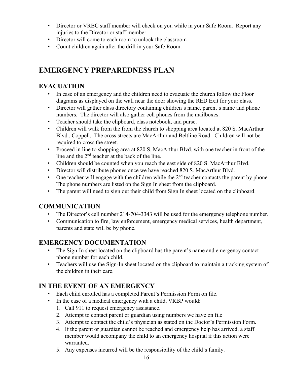- Director or VRBC staff member will check on you while in your Safe Room. Report any injuries to the Director or staff member.
- Director will come to each room to unlock the classroom
- Count children again after the drill in your Safe Room.

## **EMERGENCY PREPAREDNESS PLAN**

## **EVACUATION**

- In case of an emergency and the children need to evacuate the church follow the Floor diagrams as displayed on the wall near the door showing the RED Exit for your class.
- Director will gather class directory containing children's name, parent's name and phone numbers. The director will also gather cell phones from the mailboxes.
- Teacher should take the clipboard, class notebook, and purse.
- Children will walk from the from the church to shopping area located at 820 S. MacArthur Blvd., Coppell. The cross streets are MacArthur and Beltline Road. Children will not be required to cross the street.
- Proceed in line to shopping area at 820 S. MacArthur Blvd. with one teacher in front of the line and the 2nd teacher at the back of the line.
- Children should be counted when you reach the east side of 820 S. MacArthur Blvd.
- Director will distribute phones once we have reached 820 S. MacArthur Blvd.
- One teacher will engage with the children while the  $2<sup>nd</sup>$  teacher contacts the parent by phone. The phone numbers are listed on the Sign In sheet from the clipboard.
- The parent will need to sign out their child from Sign In sheet located on the clipboard.

## **COMMUNICATION**

- The Director's cell number 214-704-3343 will be used for the emergency telephone number.
- Communication to fire, law enforcement, emergency medical services, health department, parents and state will be by phone.

## **EMERGENCY DOCUMENTATION**

- The Sign-In sheet located on the clipboard has the parent's name and emergency contact phone number for each child.
- Teachers will use the Sign-In sheet located on the clipboard to maintain a tracking system of the children in their care.

## **IN THE EVENT OF AN EMERGENCY**

- Each child enrolled has a completed Parent's Permission Form on file.
- In the case of a medical emergency with a child, VRBP would:
	- 1. Call 911 to request emergency assistance.
	- 2. Attempt to contact parent or guardian using numbers we have on file
	- 3. Attempt to contact the child's physician as stated on the Doctor's Permission Form.
	- 4. If the parent or guardian cannot be reached and emergency help has arrived, a staff member would accompany the child to an emergency hospital if this action were warranted.
	- 5. Any expenses incurred will be the responsibility of the child's family.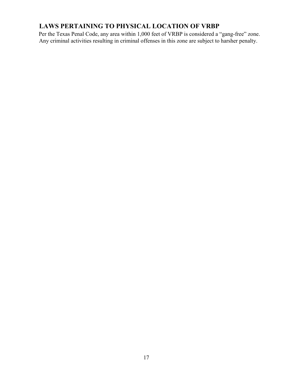## **LAWS PERTAINING TO PHYSICAL LOCATION OF VRBP**

Per the Texas Penal Code, any area within 1,000 feet of VRBP is considered a "gang-free" zone. Any criminal activities resulting in criminal offenses in this zone are subject to harsher penalty.